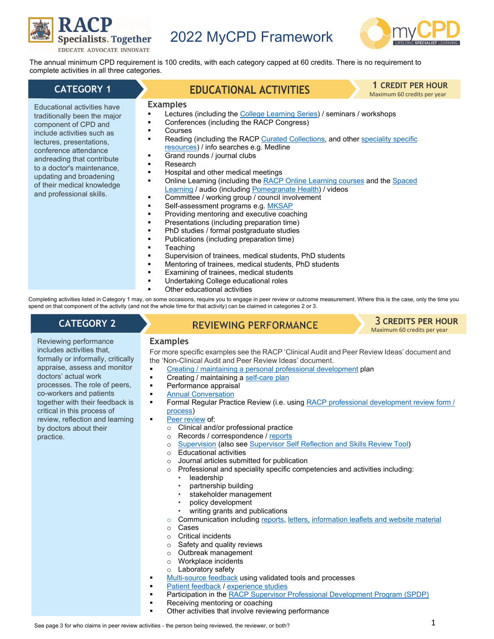

# Specialists. Together 2022 MyCPD Framework



The annual minimum CPD requirement is 100 credits, with each category capped at 60 credits. There is no requirement to complete activities in all three categories.

### **CATEGORY 1**

Educational activities have traditionally been the major component of CPD and include activities such as lectures, presentations, conference attendance andreading that contribute to a doctor's maintenance, updating and broadening of their medical knowledge and professional skills.

# **EDUCATIONAL ACTIVITIES**

**1 CREDIT PER HOUR**

Maximum 60 credits per year

# **Examples**

- Lectures (including th[e College Learning Series\)](https://elearning.racp.edu.au/course/view.php?id=94) / seminars / workshops
- Conferences (including the RACP Congress)
- Courses
- Reading (including the RACP [Curated Collections,](https://elearning.racp.edu.au/course/index.php?categoryid=30) and other [speciality specific](https://www.racp.edu.au/fellows/resources/online-learning)  [resources\)](https://www.racp.edu.au/fellows/resources/online-learning) / info searches e.g. Medline
- Grand rounds / journal clubs
- Research
- Hospital and other medical meetings
- Online Learning (including th[e RACP Online Learning courses](https://elearning.racp.edu.au/course/index.php?categoryid=30) and th[e Spaced](https://www.racp.edu.au/fellows/professional-practice-framework/spaced-learning) [Learning](https://www.racp.edu.au/fellows/professional-practice-framework/spaced-learning) / audio (includin[g Pomegranate Health\)](https://www.racp.edu.au/podcast) / videos
- Committee / working group / council involvement
- Self-assessment programs e.g[. MKSAP](https://www.racp.edu.au/fellows/resources/medical-knowledge-self-assessment-program)
- Providing mentoring and executive coaching
- Presentations (including preparation time)
- PhD studies / formal postgraduate studies
- Publications (including preparation time)
- **Teaching**
- Supervision of trainees, medical students, PhD students
- Mentoring of trainees, medical students, PhD students
- Examining of trainees, medical students
- Undertaking College educational roles
- Other educational activities

Completing activities listed in Category 1 may, on some occasions, require you to engage in peer review or outcome measurement. Where this is the case, only the time you spend on that component of the activity (and not the whole time for that activity) can be claimed in categories 2 or 3.

## **CATEGORY 2**

# **REVIEWING PERFORMANCE**

**3 CREDITS PER HOUR** Maximum 60 credits per year

Reviewing performance includes activities that, formally or informally, critically appraise, assess and monitor doctors' actual work processes. The role of peers, co-workers and patients together with their feedback is critical in this process of review, reflection and learning by doctors about their practice.

#### **Examples**

For more specific examples see the RACP 'Clinical Audit and Peer Review Ideas' document and the 'Non-Clinical Audit and Peer Review Ideas' document.

- [Creating / maintaining a personal professional development](https://elearning.racp.edu.au/mod/page/view.php?id=21185) plan
- Creating / maintaining [a self-care plan](https://mycpdweb.racp.edu.au/User/Layout/Activity?Shortcut=Selfcareplan)
- Performance appraisal
- [Annual Conversation](https://elearning.racp.edu.au/mod/page/view.php?id=21193)
- Formal Regular Practice Review (i.e. using [RACP professional development review form /](https://elearning.racp.edu.au/mod/page/view.php?id=21193)  [process\)](https://elearning.racp.edu.au/mod/page/view.php?id=21193)
- Peer review of:
	- $\circ$  Clinical and/or professional practice<br>  $\circ$  Records / correspondence / reports
	- Records / correspondence / [reports](https://elearning.racp.edu.au/mod/page/view.php?id=19560#report)<br>○ Supervision (also see Supervisor Se
	- o [Supervision](https://www.racp.edu.au/docs/default-source/default-document-library/the-supervisor-handbook-guide-to-local-peer-review.pdf?sfvrsn=b5440c1a_2) (also se[e Supervisor Self Reflection and Skills Review Tool\)](https://www.racp.edu.au/docs/default-source/default-document-library/the-supervisor-handbook-supervisor-self-reflection-and-skills-review-tool.pdf?sfvrsn=4f450c1a_2)<br> **Confidence** Reflucational activities
	- Educational activities
	- o Journal articles submitted for publication
	- o Professional and speciality specific competencies and activities including:
		- leadership
		- partnership building
		- stakeholder management
		- policy development
			- writing grants and publications
- $\circ$  Communication including [reports,](https://elearning.racp.edu.au/mod/page/view.php?id=19560#report) [letters,](https://elearning.racp.edu.au/mod/page/view.php?id=13999#cla1) [information leaflets and website material](https://elearning.racp.edu.au/mod/page/view.php?id=13999#Readability)  $\circ$
- ⊙ Cases<br>⊙ Critica
- **Critical incidents**
- o Safety and quality reviews
- o Outbreak management
- o Workplace incidents
- o Laboratory safety
- [Multi-source feedback](https://elearning.racp.edu.au/mod/page/view.php?id=21189) using validated tools and processes
- [Patient feedback](https://elearning.racp.edu.au/mod/page/view.php?id=21189) / [experience studies](https://elearning.racp.edu.au/mod/page/view.php?id=13999#psa)
- Participation in th[e RACP Supervisor Professional Development Program \(SPDP\)](https://www.racp.edu.au/fellows/supervision/supervisor-professional-development-program)
	- Receiving mentoring or coaching
- Other activities that involve reviewing performance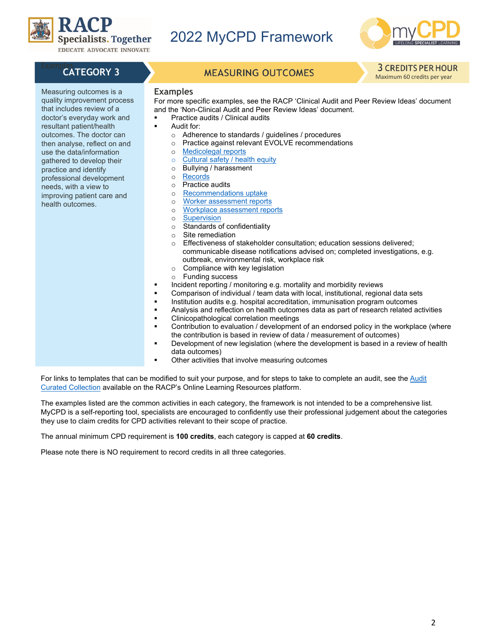

Specialists. Together 2022 MyCPD Framework



Measuring outcomes is a quality improvement process that includes review of a doctor's everyday work and resultant patient/health outcomes. The doctor can then analyse, reflect on and use the data/information gathered to develop their practice and identify professional development needs, with a view to improving patient care and

health outcomes.

**CATEGORY 3** MEASURING OUTCOMES **3 CREDITS PER HOUR** 

#### **Examples**

For more specific examples, see the RACP 'Clinical Audit and Peer Review Ideas' document and the 'Non-Clinical Audit and Peer Review Ideas' document.

- Practice audits / Clinical audits
- Audit for:
	- $\circ$  Adherence to standards / guidelines / procedures<br> $\circ$  Practice against relevant EVOLVE recommendation
- o Practice against relevant EVOLVE recommendations<br>○ Medicolegal reports
	- o [Medicolegal](https://elearning.racp.edu.au/mod/page/view.php?id=19560#report) reports
	- [Cultural safety /](https://elearning.racp.edu.au/mod/page/view.php?id=19560#csafety) health equity<br>○ Bullying / harassment
	- $\circ$  Bullying / harassment
	- o [Records](https://elearning.racp.edu.au/mod/page/view.php?id=13999#ecwa)<br>o Practice
	- o Practice audits<br>
	o Recommendati
	- [Recommendations](https://elearning.racp.edu.au/mod/page/view.php?id=19560#uptakea) uptake
	- o [Worker assessment reports](https://elearning.racp.edu.au/mod/page/view.php?id=19560#wara)
	- o Workplace [assessment reports](https://elearning.racp.edu.au/mod/page/view.php?id=19560#wasrau)
	- o [Supervision](https://www.racp.edu.au/docs/default-source/default-document-library/the-supervisor-handbook-supervisor-self-reflection-and-skills-review-tool.pdf?sfvrsn=4f450c1a_2)
	- $\circ$  Standards of confidentiality<br>  $\circ$  Site remediation
- Site remediation<br>○ Effectiveness of
- Effectiveness of stakeholder consultation; education sessions delivered; communicable disease notifications advised on; completed investigations, e.g. outbreak, environmental risk, workplace risk
- $\circ$  Compliance with key legislation<br>  $\circ$  Funding success
- Funding success
- **Incident reporting / monitoring e.g. mortality and morbidity reviews**
- Comparison of individual / team data with local, institutional, regional data sets
- Institution audits e.g. hospital accreditation, immunisation program outcomes
- Analysis and reflection on health outcomes data as part of research related activities
- Clinicopathological correlation meetings
- Contribution to evaluation / development of an endorsed policy in the workplace (where the contribution is based in review of data / measurement of outcomes)
- Development of new legislation (where the development is based in a review of health data outcomes)
- Other activities that involve measuring outcomes

For links to templates that can be modified to suit your purpose, and for steps to take to complete an audit, see the [Audit](https://elearning.racp.edu.au/course/view.php?id=162)  [Curated Collection](https://elearning.racp.edu.au/course/view.php?id=162) available on the RACP's Online Learning Resources platform.

The examples listed are the common activities in each category, the framework is not intended to be a comprehensive list. MyCPD is a self-reporting tool, specialists are encouraged to confidently use their professional judgement about the categories they use to claim credits for CPD activities relevant to their scope of practice.

The annual minimum CPD requirement is **100 credits**, each category is capped at **60 credits**.

Please note there is NO requirement to record credits in all three categories.